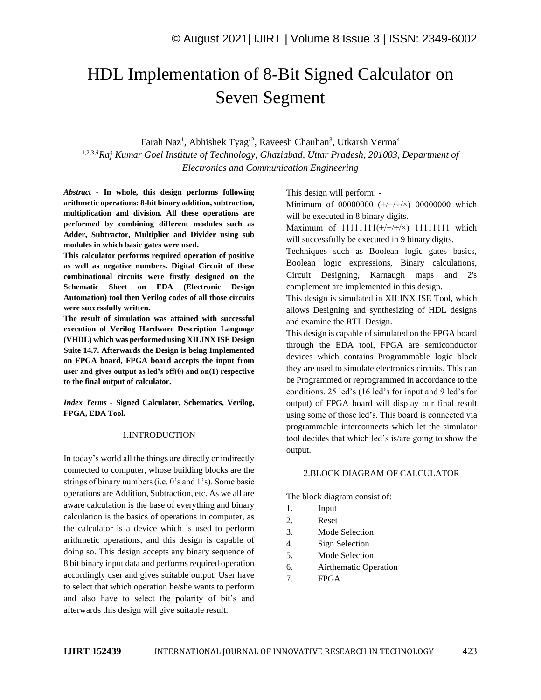# HDL Implementation of 8-Bit Signed Calculator on Seven Segment

Farah Naz<sup>1</sup>, Abhishek Tyagi<sup>2</sup>, Raveesh Chauhan<sup>3</sup>, Utkarsh Verma<sup>4</sup> 1,2,3,*<sup>4</sup>Raj Kumar Goel Institute of Technology, Ghaziabad, Uttar Pradesh, 201003, Department of Electronics and Communication Engineering*

*Abstract -* **In whole, this design performs following arithmetic operations: 8-bit binary addition, subtraction, multiplication and division. All these operations are performed by combining different modules such as Adder, Subtractor, Multiplier and Divider using sub modules in which basic gates were used.**

**This calculator performs required operation of positive as well as negative numbers. Digital Circuit of these combinational circuits were firstly designed on the Schematic Sheet on EDA (Electronic Design Automation) tool then Verilog codes of all those circuits were successfully written.**

**The result of simulation was attained with successful execution of Verilog Hardware Description Language (VHDL) which was performed using XILINX ISE Design Suite 14.7. Afterwards the Design is being Implemented on FPGA board, FPGA board accepts the input from user and gives output as led's off(0) and on(1) respective to the final output of calculator.**

*Index Terms -* **Signed Calculator, Schematics, Verilog, FPGA, EDA Tool.**

### 1.INTRODUCTION

In today's world all the things are directly or indirectly connected to computer, whose building blocks are the strings of binary numbers (i.e. 0's and 1's). Some basic operations are Addition, Subtraction, etc. As we all are aware calculation is the base of everything and binary calculation is the basics of operations in computer, as the calculator is a device which is used to perform arithmetic operations, and this design is capable of doing so. This design accepts any binary sequence of 8 bit binary input data and performs required operation accordingly user and gives suitable output. User have to select that which operation he/she wants to perform and also have to select the polarity of bit's and afterwards this design will give suitable result.

This design will perform: -

Minimum of 00000000  $(+/-//\div)$  00000000 which will be executed in 8 binary digits.

Maximum of 11111111(+/−/÷/×) 11111111 which will successfully be executed in 9 binary digits.

Techniques such as Boolean logic gates basics, Boolean logic expressions, Binary calculations, Circuit Designing, Karnaugh maps and 2's complement are implemented in this design.

This design is simulated in XILINX ISE Tool, which allows Designing and synthesizing of HDL designs and examine the RTL Design.

This design is capable of simulated on the FPGA board through the EDA tool, FPGA are semiconductor devices which contains Programmable logic block they are used to simulate electronics circuits. This can be Programmed or reprogrammed in accordance to the conditions. 25 led's (16 led's for input and 9 led's for output) of FPGA board will display our final result using some of those led's. This board is connected via programmable interconnects which let the simulator tool decides that which led's is/are going to show the output.

### 2.BLOCK DIAGRAM OF CALCULATOR

The block diagram consist of:

- 1. Input
- 2. Reset
- 3. Mode Selection
- 4. Sign Selection
- 5. Mode Selection
- 6. Airthematic Operation
- 7. FPGA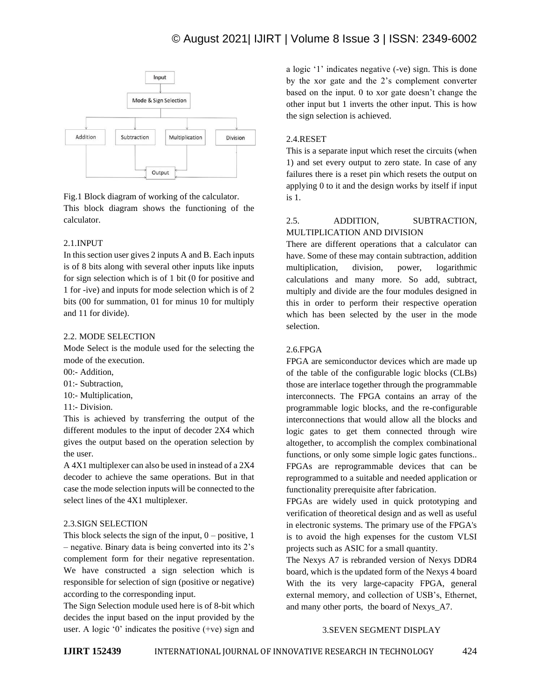### © August 2021| IJIRT | Volume 8 Issue 3 | ISSN: 2349-6002



Fig.1 Block diagram of working of the calculator. This block diagram shows the functioning of the calculator.

### 2.1.INPUT

In this section user gives 2 inputs A and B. Each inputs is of 8 bits along with several other inputs like inputs for sign selection which is of 1 bit (0 for positive and 1 for -ive) and inputs for mode selection which is of 2 bits (00 for summation, 01 for minus 10 for multiply and 11 for divide).

### 2.2. MODE SELECTION

Mode Select is the module used for the selecting the mode of the execution.

- $00 -$  Addition
- 01:- Subtraction,

10:- Multiplication,

11:- Division.

This is achieved by transferring the output of the different modules to the input of decoder 2X4 which gives the output based on the operation selection by the user.

A 4X1 multiplexer can also be used in instead of a 2X4 decoder to achieve the same operations. But in that case the mode selection inputs will be connected to the select lines of the 4X1 multiplexer.

### 2.3.SIGN SELECTION

This block selects the sign of the input,  $0 -$  positive, 1 – negative. Binary data is being converted into its 2's complement form for their negative representation. We have constructed a sign selection which is responsible for selection of sign (positive or negative) according to the corresponding input.

The Sign Selection module used here is of 8-bit which decides the input based on the input provided by the user. A logic '0' indicates the positive (+ve) sign and a logic '1' indicates negative (-ve) sign. This is done by the xor gate and the 2's complement converter based on the input. 0 to xor gate doesn't change the other input but 1 inverts the other input. This is how the sign selection is achieved.

### 2.4.RESET

This is a separate input which reset the circuits (when 1) and set every output to zero state. In case of any failures there is a reset pin which resets the output on applying 0 to it and the design works by itself if input is 1.

### 2.5. ADDITION, SUBTRACTION, MULTIPLICATION AND DIVISION

There are different operations that a calculator can have. Some of these may contain subtraction, addition multiplication, division, power, logarithmic calculations and many more. So add, subtract, multiply and divide are the four modules designed in this in order to perform their respective operation which has been selected by the user in the mode selection.

### 2.6.FPGA

FPGA are semiconductor devices which are made up of the table of the configurable logic blocks (CLBs) those are interlace together through the programmable interconnects. The FPGA contains an array of the programmable logic blocks, and the re-configurable interconnections that would allow all the blocks and logic gates to get them connected through wire altogether, to accomplish the complex combinational functions, or only some simple logic gates functions.. FPGAs are reprogrammable devices that can be reprogrammed to a suitable and needed application or functionality prerequisite after fabrication.

FPGAs are widely used in quick prototyping and verification of theoretical design and as well as useful in electronic systems. The primary use of the FPGA's is to avoid the high expenses for the custom VLSI projects such as ASIC for a small quantity.

The Nexys A7 is rebranded version of Nexys DDR4 board, which is the updated form of the Nexys 4 board With the its very large-capacity FPGA, general external memory, and collection of USB's, Ethernet, and many other ports, the board of Nexys\_A7.

### 3.SEVEN SEGMENT DISPLAY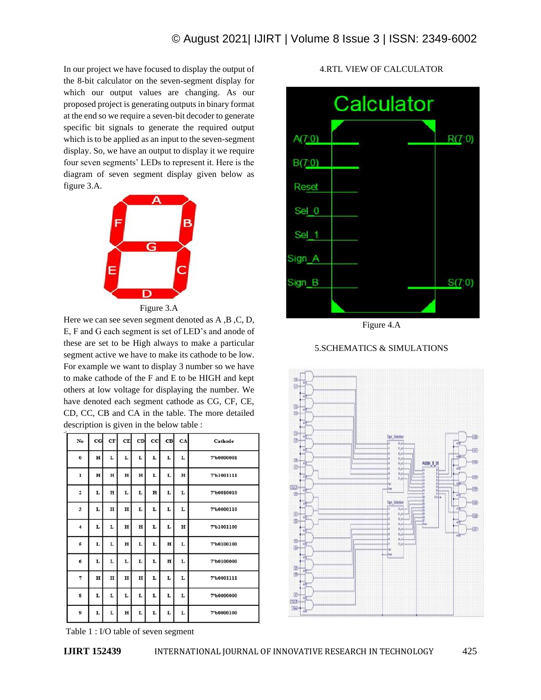In our project we have focused to display the output of the 8-bit calculator on the seven-segment display for which our output values are changing. As our proposed project is generating outputs in binary format at the end so we require a seven-bit decoder to generate specific bit signals to generate the required output which is to be applied as an input to the seven-segment display. So, we have an output to display it we require four seven segments' LEDs to represent it. Here is the diagram of seven segment display given below as figure 3.A.



Figure 3.A

Here we can see seven segment denoted as A ,B ,C, D, E, F and G each segment is set of LED's and anode of these are set to be High always to make a particular segment active we have to make its cathode to be low. For example we want to display 3 number so we have to make cathode of the F and E to be HIGH and kept others at low voltage for displaying the number. We have denoted each segment cathode as CG, CF, CE, CD, CC, CB and CA in the table. The more detailed description is given in the below table :

| No                      | $_{\rm cc}$ | CF          | CE          | CD          | cc <sub>l</sub> | CВ          | CA          | Cathode    |
|-------------------------|-------------|-------------|-------------|-------------|-----------------|-------------|-------------|------------|
| $\bf{0}$                | $\mathbf H$ | L           | L           | L           | L               | L           | L           | 7'b0000001 |
| $\mathbf{1}$            | $\mathbf H$ | $\mathbf H$ | $\mathbf H$ | $\mathbf H$ | L               | L           | $\mathbf H$ | 7'b1001111 |
| $\overline{2}$          | L           | н           | L           | L           | $\mathbf H$     | L           | L           | 7'b0010010 |
| $\overline{\mathbf{3}}$ | L           | H           | $\mathbf H$ | L           | L               | L           | L           | 7'b0000110 |
| 4                       | L           | L           | н           | $\mathbf H$ | L               | L           | $\mathbf H$ | 7'b1001100 |
| 5                       | L           | L           | H           | L           | L               | H           | L           | 7'b0100100 |
| 6                       | L           | L           | L           | L           | L               | $\mathbf H$ | L           | 7'b0100000 |
| 7                       | H           | $\mathbf H$ | $\mathbf H$ | $\mathbf H$ | L               | L           | L           | 7'b0001111 |
| s                       | L           | L           | L           | L           | L               | L           | L           | 7'b0000000 |
| 9                       | L           | г           | $\mathbf H$ | L           | L               | г           | L           | 7'b0000100 |

4.RTL VIEW OF CALCULATOR



Figure 4.A





Table 1 : I/O table of seven segment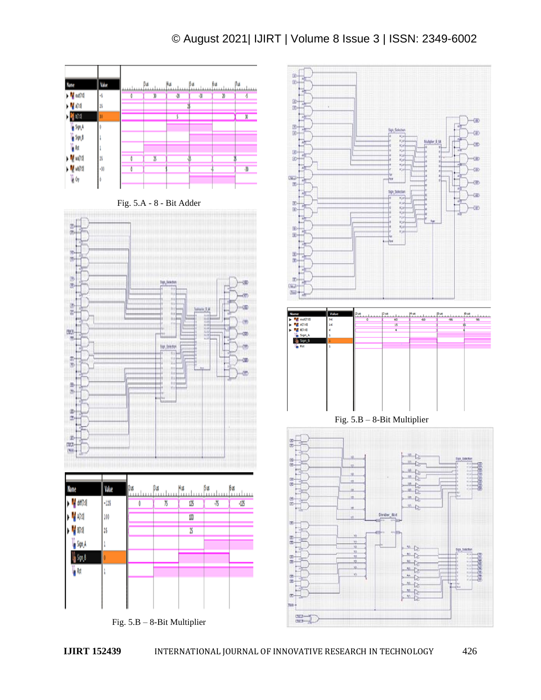## © August 2021| IJIRT | Volume 8 Issue 3 | ISSN: 2349-6002



Fig. 5.B – 8-Bit Multiplier

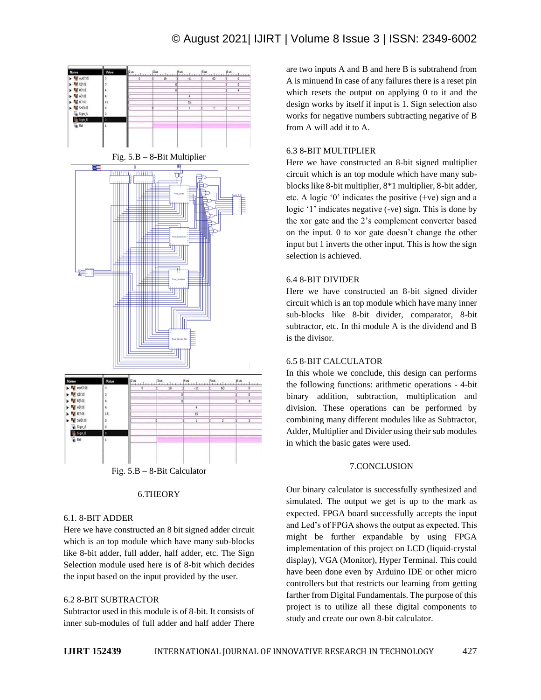### © August 2021| IJIRT | Volume 8 Issue 3 | ISSN: 2349-6002



### 6.THEORY

#### 6.1. 8-BIT ADDER

Here we have constructed an 8 bit signed adder circuit which is an top module which have many sub-blocks like 8-bit adder, full adder, half adder, etc. The Sign Selection module used here is of 8-bit which decides the input based on the input provided by the user.

### 6.2 8-BIT SUBTRACTOR

Subtractor used in this module is of 8-bit. It consists of inner sub-modules of full adder and half adder There are two inputs A and B and here B is subtrahend from A is minuend In case of any failures there is a reset pin which resets the output on applying 0 to it and the design works by itself if input is 1. Sign selection also works for negative numbers subtracting negative of B from A will add it to A.

### 6.3 8-BIT MULTIPLIER

Here we have constructed an 8-bit signed multiplier circuit which is an top module which have many subblocks like 8-bit multiplier, 8\*1 multiplier, 8-bit adder, etc. A logic '0' indicates the positive (+ve) sign and a logic '1' indicates negative (-ve) sign. This is done by the xor gate and the 2's complement converter based on the input. 0 to xor gate doesn't change the other input but 1 inverts the other input. This is how the sign selection is achieved.

### 6.4 8-BIT DIVIDER

Here we have constructed an 8-bit signed divider circuit which is an top module which have many inner sub-blocks like 8-bit divider, comparator, 8-bit subtractor, etc. In thi module A is the dividend and B is the divisor.

### 6.5 8-BIT CALCULATOR

In this whole we conclude, this design can performs the following functions: arithmetic operations - 4-bit binary addition, subtraction, multiplication and division. These operations can be performed by combining many different modules like as Subtractor, Adder, Multiplier and Divider using their sub modules in which the basic gates were used.

### 7.CONCLUSION

Our binary calculator is successfully synthesized and simulated. The output we get is up to the mark as expected. FPGA board successfully accepts the input and Led's of FPGA shows the output as expected. This might be further expandable by using FPGA implementation of this project on LCD (liquid-crystal display), VGA (Monitor), Hyper Terminal. This could have been done even by Arduino IDE or other micro controllers but that restricts our learning from getting farther from Digital Fundamentals. The purpose of this project is to utilize all these digital components to study and create our own 8-bit calculator.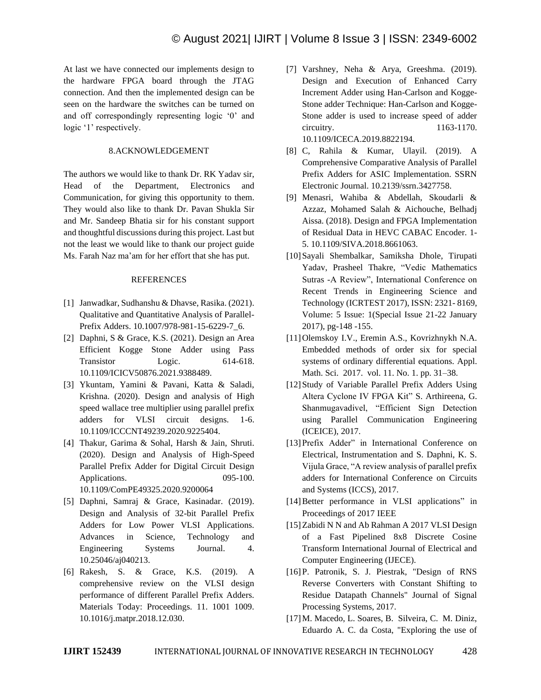At last we have connected our implements design to the hardware FPGA board through the JTAG connection. And then the implemented design can be seen on the hardware the switches can be turned on and off correspondingly representing logic '0' and logic '1' respectively.

### 8.ACKNOWLEDGEMENT

The authors we would like to thank Dr. RK Yadav sir, Head of the Department, Electronics and Communication, for giving this opportunity to them. They would also like to thank Dr. Pavan Shukla Sir and Mr. Sandeep Bhatia sir for his constant support and thoughtful discussions during this project. Last but not the least we would like to thank our project guide Ms. Farah Naz ma'am for her effort that she has put.

### REFERENCES

- [1] Janwadkar, Sudhanshu & Dhavse, Rasika. (2021). Qualitative and Quantitative Analysis of Parallel-Prefix Adders. 10.1007/978-981-15-6229-7\_6.
- [2] Daphni, S & Grace, K.S. (2021). Design an Area Efficient Kogge Stone Adder using Pass Transistor Logic. 614-618. 10.1109/ICICV50876.2021.9388489.
- [3] Ykuntam, Yamini & Pavani, Katta & Saladi, Krishna. (2020). Design and analysis of High speed wallace tree multiplier using parallel prefix adders for VLSI circuit designs. 1-6. 10.1109/ICCCNT49239.2020.9225404.
- [4] Thakur, Garima & Sohal, Harsh & Jain, Shruti. (2020). Design and Analysis of High-Speed Parallel Prefix Adder for Digital Circuit Design Applications. 095-100. 10.1109/ComPE49325.2020.9200064
- [5] Daphni, Samraj & Grace, Kasinadar. (2019). Design and Analysis of 32-bit Parallel Prefix Adders for Low Power VLSI Applications. Advances in Science, Technology and Engineering Systems Journal. 4. 10.25046/aj040213.
- [6] Rakesh, S. & Grace, K.S. (2019). A comprehensive review on the VLSI design performance of different Parallel Prefix Adders. Materials Today: Proceedings. 11. 1001 1009. 10.1016/j.matpr.2018.12.030.
- [7] Varshney, Neha & Arya, Greeshma. (2019). Design and Execution of Enhanced Carry Increment Adder using Han-Carlson and Kogge-Stone adder Technique: Han-Carlson and Kogge-Stone adder is used to increase speed of adder circuitry. 1163-1170. 10.1109/ICECA.2019.8822194.
- [8] C, Rahila & Kumar, Ulayil. (2019). A Comprehensive Comparative Analysis of Parallel Prefix Adders for ASIC Implementation. SSRN Electronic Journal. 10.2139/ssrn.3427758.
- [9] Menasri, Wahiba & Abdellah, Skoudarli & Azzaz, Mohamed Salah & Aichouche, Belhadj Aissa. (2018). Design and FPGA Implementation of Residual Data in HEVC CABAC Encoder. 1- 5. 10.1109/SIVA.2018.8661063.
- [10]Sayali Shembalkar, Samiksha Dhole, Tirupati Yadav, Prasheel Thakre, "Vedic Mathematics Sutras -A Review", International Conference on Recent Trends in Engineering Science and Technology (ICRTEST 2017), ISSN: 2321- 8169, Volume: 5 Issue: 1(Special Issue 21-22 January 2017), pg-148 -155.
- [11]Olemskoy I.V., Eremin A.S., Kovrizhnykh N.A. Embedded methods of order six for special systems of ordinary differential equations. Appl. Math. Sci. 2017. vol. 11. No. 1. pp. 31–38.
- [12] Study of Variable Parallel Prefix Adders Using Altera Cyclone IV FPGA Kit" S. Arthireena, G. Shanmugavadivel, "Efficient Sign Detection using Parallel Communication Engineering (ICEICE), 2017.
- [13] Prefix Adder" in International Conference on Electrical, Instrumentation and S. Daphni, K. S. Vijula Grace, "A review analysis of parallel prefix adders for International Conference on Circuits and Systems (ICCS), 2017.
- [14] Better performance in VLSI applications" in Proceedings of 2017 IEEE
- [15] Zabidi N N and Ab Rahman A 2017 VLSI Design of a Fast Pipelined 8x8 Discrete Cosine Transform International Journal of Electrical and Computer Engineering (IJECE).
- [16]P. Patronik, S. J. Piestrak, "Design of RNS Reverse Converters with Constant Shifting to Residue Datapath Channels" Journal of Signal Processing Systems, 2017.
- [17]M. Macedo, L. Soares, B. Silveira, C. M. Diniz, Eduardo A. C. da Costa, "Exploring the use of